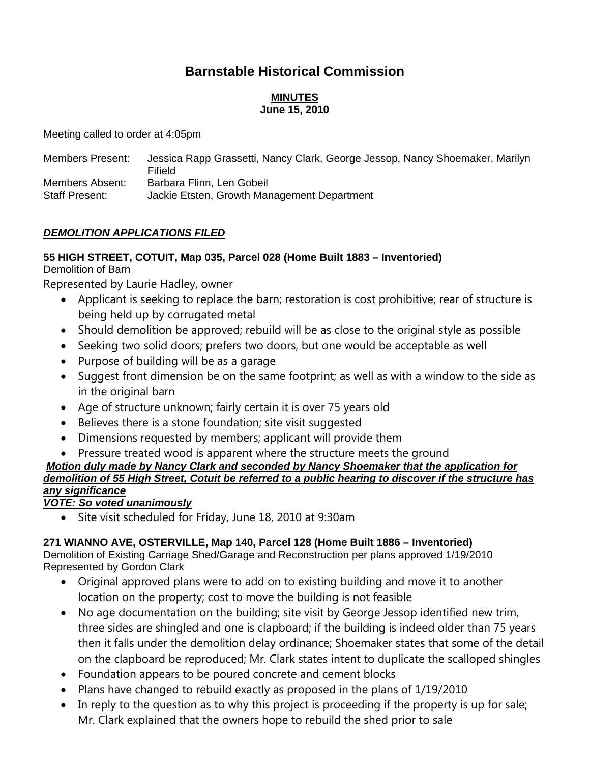# **Barnstable Historical Commission**

#### **MINUTES June 15, 2010**

Meeting called to order at 4:05pm

| <b>Members Present:</b> | Jessica Rapp Grassetti, Nancy Clark, George Jessop, Nancy Shoemaker, Marilyn<br>Fifield |
|-------------------------|-----------------------------------------------------------------------------------------|
| Members Absent:         | Barbara Flinn, Len Gobeil                                                               |
| <b>Staff Present:</b>   | Jackie Etsten, Growth Management Department                                             |

### *DEMOLITION APPLICATIONS FILED*

#### **55 HIGH STREET, COTUIT, Map 035, Parcel 028 (Home Built 1883 – Inventoried)**  Demolition of Barn

Represented by Laurie Hadley, owner

- Applicant is seeking to replace the barn; restoration is cost prohibitive; rear of structure is being held up by corrugated metal
- Should demolition be approved; rebuild will be as close to the original style as possible
- Seeking two solid doors; prefers two doors, but one would be acceptable as well
- Purpose of building will be as a garage
- Suggest front dimension be on the same footprint; as well as with a window to the side as in the original barn
- Age of structure unknown; fairly certain it is over 75 years old
- Believes there is a stone foundation; site visit suggested
- Dimensions requested by members; applicant will provide them
- Pressure treated wood is apparent where the structure meets the ground

### *Motion duly made by Nancy Clark and seconded by Nancy Shoemaker that the application for demolition of 55 High Street, Cotuit be referred to a public hearing to discover if the structure has any significance*

### *VOTE: So voted unanimously*

Site visit scheduled for Friday, June 18, 2010 at 9:30am

### **271 WIANNO AVE, OSTERVILLE, Map 140, Parcel 128 (Home Built 1886 – Inventoried)**

Demolition of Existing Carriage Shed/Garage and Reconstruction per plans approved 1/19/2010 Represented by Gordon Clark

- Original approved plans were to add on to existing building and move it to another location on the property; cost to move the building is not feasible
- No age documentation on the building; site visit by George Jessop identified new trim, three sides are shingled and one is clapboard; if the building is indeed older than 75 years then it falls under the demolition delay ordinance; Shoemaker states that some of the detail on the clapboard be reproduced; Mr. Clark states intent to duplicate the scalloped shingles
- Foundation appears to be poured concrete and cement blocks
- Plans have changed to rebuild exactly as proposed in the plans of 1/19/2010
- In reply to the question as to why this project is proceeding if the property is up for sale; Mr. Clark explained that the owners hope to rebuild the shed prior to sale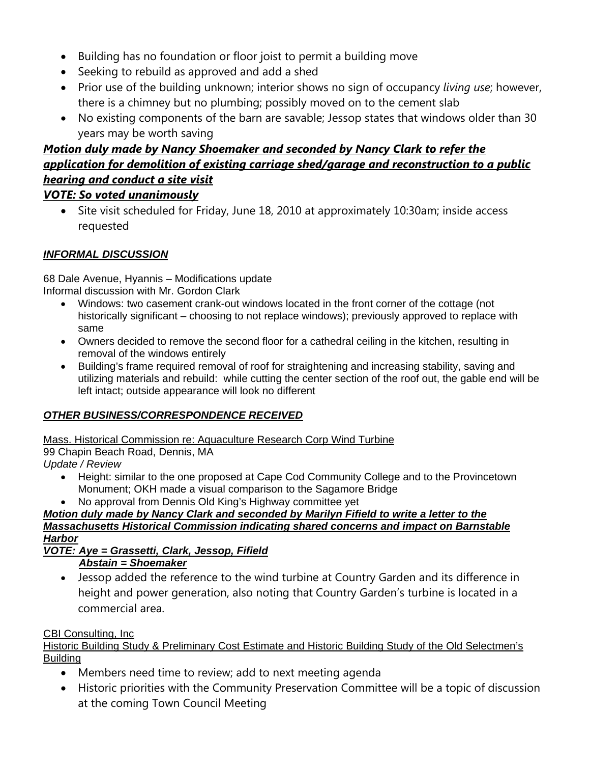- Building has no foundation or floor joist to permit a building move
- Seeking to rebuild as approved and add a shed
- Prior use of the building unknown; interior shows no sign of occupancy *living use*; however, there is a chimney but no plumbing; possibly moved on to the cement slab
- No existing components of the barn are savable; Jessop states that windows older than 30 years may be worth saving

# *Motion duly made by Nancy Shoemaker and seconded by Nancy Clark to refer the application for demolition of existing carriage shed/garage and reconstruction to a public hearing and conduct a site visit VOTE: So voted unanimously*

• Site visit scheduled for Friday, June 18, 2010 at approximately 10:30am; inside access requested

### *INFORMAL DISCUSSION*

68 Dale Avenue, Hyannis – Modifications update Informal discussion with Mr. Gordon Clark

- Windows: two casement crank-out windows located in the front corner of the cottage (not historically significant – choosing to not replace windows); previously approved to replace with same
- Owners decided to remove the second floor for a cathedral ceiling in the kitchen, resulting in removal of the windows entirely
- Building's frame required removal of roof for straightening and increasing stability, saving and utilizing materials and rebuild: while cutting the center section of the roof out, the gable end will be left intact; outside appearance will look no different

### *OTHER BUSINESS/CORRESPONDENCE RECEIVED*

Mass. Historical Commission re: Aquaculture Research Corp Wind Turbine

99 Chapin Beach Road, Dennis, MA

*Update / Review* 

- Height: similar to the one proposed at Cape Cod Community College and to the Provincetown Monument; OKH made a visual comparison to the Sagamore Bridge
- No approval from Dennis Old King's Highway committee yet

### *Motion duly made by Nancy Clark and seconded by Marilyn Fifield to write a letter to the Massachusetts Historical Commission indicating shared concerns and impact on Barnstable Harbor*

#### *VOTE: Aye = Grassetti, Clark, Jessop, Fifield Abstain = Shoemaker*

 Jessop added the reference to the wind turbine at Country Garden and its difference in height and power generation, also noting that Country Garden's turbine is located in a commercial area.

### CBI Consulting, Inc

Historic Building Study & Preliminary Cost Estimate and Historic Building Study of the Old Selectmen's Building

- Members need time to review; add to next meeting agenda
- Historic priorities with the Community Preservation Committee will be a topic of discussion at the coming Town Council Meeting